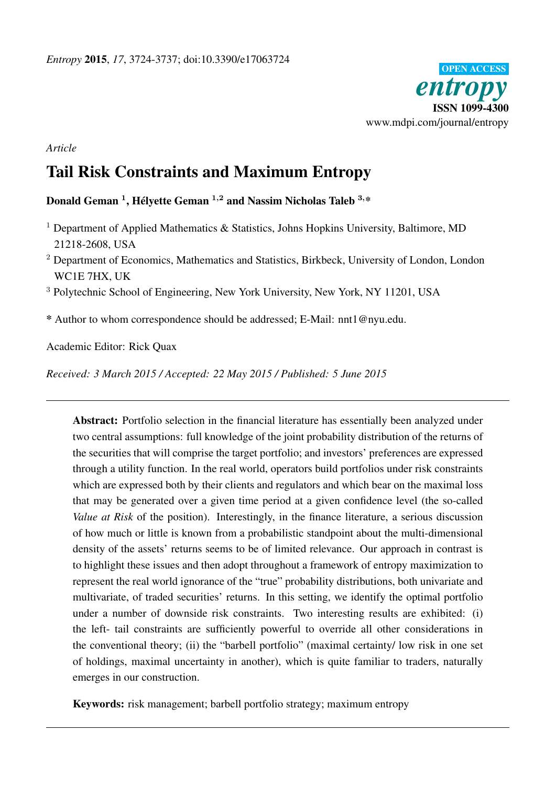

*Article*

# Tail Risk Constraints and Maximum Entropy

# Donald Geman  $^1,$  Hélyette Geman  $^{1,2}$  and Nassim Nicholas Taleb  $^{3,\ast}$

<sup>1</sup> Department of Applied Mathematics & Statistics, Johns Hopkins University, Baltimore, MD 21218-2608, USA

<sup>2</sup> Department of Economics, Mathematics and Statistics, Birkbeck, University of London, London WC1E 7HX, UK

<sup>3</sup> Polytechnic School of Engineering, New York University, New York, NY 11201, USA

\* Author to whom correspondence should be addressed; E-Mail: nnt1@nyu.edu.

Academic Editor: Rick Quax

*Received: 3 March 2015 / Accepted: 22 May 2015 / Published: 5 June 2015*

Abstract: Portfolio selection in the financial literature has essentially been analyzed under two central assumptions: full knowledge of the joint probability distribution of the returns of the securities that will comprise the target portfolio; and investors' preferences are expressed through a utility function. In the real world, operators build portfolios under risk constraints which are expressed both by their clients and regulators and which bear on the maximal loss that may be generated over a given time period at a given confidence level (the so-called *Value at Risk* of the position). Interestingly, in the finance literature, a serious discussion of how much or little is known from a probabilistic standpoint about the multi-dimensional density of the assets' returns seems to be of limited relevance. Our approach in contrast is to highlight these issues and then adopt throughout a framework of entropy maximization to represent the real world ignorance of the "true" probability distributions, both univariate and multivariate, of traded securities' returns. In this setting, we identify the optimal portfolio under a number of downside risk constraints. Two interesting results are exhibited: (i) the left- tail constraints are sufficiently powerful to override all other considerations in the conventional theory; (ii) the "barbell portfolio" (maximal certainty/ low risk in one set of holdings, maximal uncertainty in another), which is quite familiar to traders, naturally emerges in our construction.

Keywords: risk management; barbell portfolio strategy; maximum entropy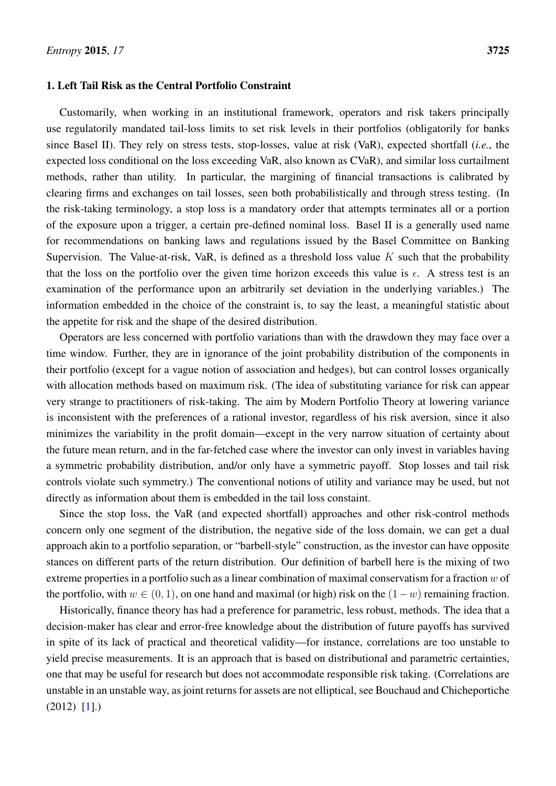## 1. Left Tail Risk as the Central Portfolio Constraint

Customarily, when working in an institutional framework, operators and risk takers principally use regulatorily mandated tail-loss limits to set risk levels in their portfolios (obligatorily for banks since Basel II). They rely on stress tests, stop-losses, value at risk (VaR), expected shortfall (*i.e.*, the expected loss conditional on the loss exceeding VaR, also known as CVaR), and similar loss curtailment methods, rather than utility. In particular, the margining of financial transactions is calibrated by clearing firms and exchanges on tail losses, seen both probabilistically and through stress testing. (In the risk-taking terminology, a stop loss is a mandatory order that attempts terminates all or a portion of the exposure upon a trigger, a certain pre-defined nominal loss. Basel II is a generally used name for recommendations on banking laws and regulations issued by the Basel Committee on Banking Supervision. The Value-at-risk, VaR, is defined as a threshold loss value  $K$  such that the probability that the loss on the portfolio over the given time horizon exceeds this value is  $\epsilon$ . A stress test is an examination of the performance upon an arbitrarily set deviation in the underlying variables.) The information embedded in the choice of the constraint is, to say the least, a meaningful statistic about the appetite for risk and the shape of the desired distribution.

Operators are less concerned with portfolio variations than with the drawdown they may face over a time window. Further, they are in ignorance of the joint probability distribution of the components in their portfolio (except for a vague notion of association and hedges), but can control losses organically with allocation methods based on maximum risk. (The idea of substituting variance for risk can appear very strange to practitioners of risk-taking. The aim by Modern Portfolio Theory at lowering variance is inconsistent with the preferences of a rational investor, regardless of his risk aversion, since it also minimizes the variability in the profit domain—except in the very narrow situation of certainty about the future mean return, and in the far-fetched case where the investor can only invest in variables having a symmetric probability distribution, and/or only have a symmetric payoff. Stop losses and tail risk controls violate such symmetry.) The conventional notions of utility and variance may be used, but not directly as information about them is embedded in the tail loss constaint.

Since the stop loss, the VaR (and expected shortfall) approaches and other risk-control methods concern only one segment of the distribution, the negative side of the loss domain, we can get a dual approach akin to a portfolio separation, or "barbell-style" construction, as the investor can have opposite stances on different parts of the return distribution. Our definition of barbell here is the mixing of two extreme properties in a portfolio such as a linear combination of maximal conservatism for a fraction  $w$  of the portfolio, with  $w \in (0, 1)$ , on one hand and maximal (or high) risk on the  $(1-w)$  remaining fraction.

Historically, finance theory has had a preference for parametric, less robust, methods. The idea that a decision-maker has clear and error-free knowledge about the distribution of future payoffs has survived in spite of its lack of practical and theoretical validity—for instance, correlations are too unstable to yield precise measurements. It is an approach that is based on distributional and parametric certainties, one that may be useful for research but does not accommodate responsible risk taking. (Correlations are unstable in an unstable way, as joint returns for assets are not elliptical, see Bouchaud and Chicheportiche (2012) [\[1\]](#page-12-0).)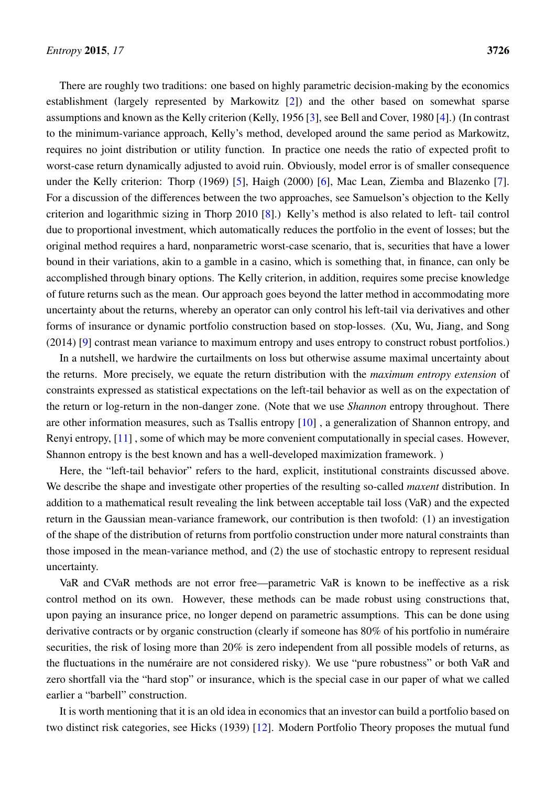There are roughly two traditions: one based on highly parametric decision-making by the economics establishment (largely represented by Markowitz [\[2\]](#page-12-1)) and the other based on somewhat sparse assumptions and known as the Kelly criterion (Kelly, 1956 [\[3\]](#page-12-2), see Bell and Cover, 1980 [\[4\]](#page-12-3).) (In contrast to the minimum-variance approach, Kelly's method, developed around the same period as Markowitz, requires no joint distribution or utility function. In practice one needs the ratio of expected profit to worst-case return dynamically adjusted to avoid ruin. Obviously, model error is of smaller consequence under the Kelly criterion: Thorp (1969) [\[5\]](#page-12-4), Haigh (2000) [\[6\]](#page-12-5), Mac Lean, Ziemba and Blazenko [\[7\]](#page-13-0). For a discussion of the differences between the two approaches, see Samuelson's objection to the Kelly criterion and logarithmic sizing in Thorp 2010 [\[8\]](#page-13-1).) Kelly's method is also related to left- tail control due to proportional investment, which automatically reduces the portfolio in the event of losses; but the original method requires a hard, nonparametric worst-case scenario, that is, securities that have a lower bound in their variations, akin to a gamble in a casino, which is something that, in finance, can only be accomplished through binary options. The Kelly criterion, in addition, requires some precise knowledge of future returns such as the mean. Our approach goes beyond the latter method in accommodating more uncertainty about the returns, whereby an operator can only control his left-tail via derivatives and other forms of insurance or dynamic portfolio construction based on stop-losses. (Xu, Wu, Jiang, and Song (2014) [\[9\]](#page-13-2) contrast mean variance to maximum entropy and uses entropy to construct robust portfolios.)

In a nutshell, we hardwire the curtailments on loss but otherwise assume maximal uncertainty about the returns. More precisely, we equate the return distribution with the *maximum entropy extension* of constraints expressed as statistical expectations on the left-tail behavior as well as on the expectation of the return or log-return in the non-danger zone. (Note that we use *Shannon* entropy throughout. There are other information measures, such as Tsallis entropy [\[10\]](#page-13-3) , a generalization of Shannon entropy, and Renyi entropy, [\[11\]](#page-13-4), some of which may be more convenient computationally in special cases. However, Shannon entropy is the best known and has a well-developed maximization framework. )

Here, the "left-tail behavior" refers to the hard, explicit, institutional constraints discussed above. We describe the shape and investigate other properties of the resulting so-called *maxent* distribution. In addition to a mathematical result revealing the link between acceptable tail loss (VaR) and the expected return in the Gaussian mean-variance framework, our contribution is then twofold: (1) an investigation of the shape of the distribution of returns from portfolio construction under more natural constraints than those imposed in the mean-variance method, and (2) the use of stochastic entropy to represent residual uncertainty.

VaR and CVaR methods are not error free—parametric VaR is known to be ineffective as a risk control method on its own. However, these methods can be made robust using constructions that, upon paying an insurance price, no longer depend on parametric assumptions. This can be done using derivative contracts or by organic construction (clearly if someone has 80% of his portfolio in numéraire securities, the risk of losing more than 20% is zero independent from all possible models of returns, as the fluctuations in the numéraire are not considered risky). We use "pure robustness" or both VaR and zero shortfall via the "hard stop" or insurance, which is the special case in our paper of what we called earlier a "barbell" construction.

It is worth mentioning that it is an old idea in economics that an investor can build a portfolio based on two distinct risk categories, see Hicks (1939) [\[12\]](#page-13-5). Modern Portfolio Theory proposes the mutual fund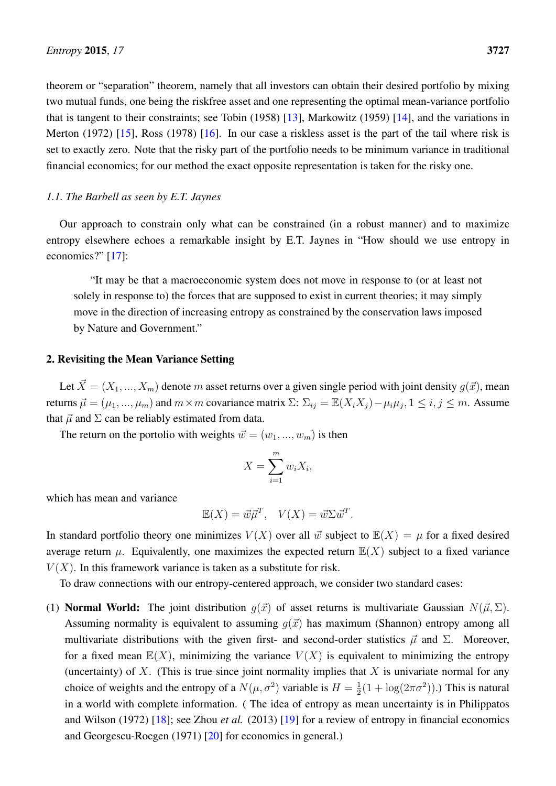theorem or "separation" theorem, namely that all investors can obtain their desired portfolio by mixing two mutual funds, one being the riskfree asset and one representing the optimal mean-variance portfolio that is tangent to their constraints; see Tobin (1958) [\[13\]](#page-13-6), Markowitz (1959) [\[14\]](#page-13-7), and the variations in Merton (1972) [\[15\]](#page-13-8), Ross (1978) [\[16\]](#page-13-9). In our case a riskless asset is the part of the tail where risk is set to exactly zero. Note that the risky part of the portfolio needs to be minimum variance in traditional financial economics; for our method the exact opposite representation is taken for the risky one.

#### *1.1. The Barbell as seen by E.T. Jaynes*

Our approach to constrain only what can be constrained (in a robust manner) and to maximize entropy elsewhere echoes a remarkable insight by E.T. Jaynes in "How should we use entropy in economics?" [\[17\]](#page-13-10):

"It may be that a macroeconomic system does not move in response to (or at least not solely in response to) the forces that are supposed to exist in current theories; it may simply move in the direction of increasing entropy as constrained by the conservation laws imposed by Nature and Government."

# 2. Revisiting the Mean Variance Setting

Let  $\vec{X} = (X_1, ..., X_m)$  denote m asset returns over a given single period with joint density  $g(\vec{x})$ , mean returns  $\vec{\mu} = (\mu_1, ..., \mu_m)$  and  $m \times m$  covariance matrix  $\Sigma: \Sigma_{ij} = \mathbb{E}(X_i X_j) - \mu_i \mu_j, 1 \le i, j \le m$ . Assume that  $\vec{\mu}$  and  $\Sigma$  can be reliably estimated from data.

The return on the portolio with weights  $\vec{w} = (w_1, ..., w_m)$  is then

$$
X = \sum_{i=1}^{m} w_i X_i,
$$

which has mean and variance

$$
\mathbb{E}(X) = \vec{w}\vec{\mu}^T, \quad V(X) = \vec{w}\Sigma\vec{w}^T.
$$

In standard portfolio theory one minimizes  $V(X)$  over all  $\vec{w}$  subject to  $\mathbb{E}(X) = \mu$  for a fixed desired average return  $\mu$ . Equivalently, one maximizes the expected return  $\mathbb{E}(X)$  subject to a fixed variance  $V(X)$ . In this framework variance is taken as a substitute for risk.

To draw connections with our entropy-centered approach, we consider two standard cases:

(1) **Normal World:** The joint distribution  $q(\vec{x})$  of asset returns is multivariate Gaussian  $N(\vec{\mu}, \Sigma)$ . Assuming normality is equivalent to assuming  $q(\vec{x})$  has maximum (Shannon) entropy among all multivariate distributions with the given first- and second-order statistics  $\vec{\mu}$  and  $\Sigma$ . Moreover, for a fixed mean  $\mathbb{E}(X)$ , minimizing the variance  $V(X)$  is equivalent to minimizing the entropy (uncertainty) of X. (This is true since joint normality implies that X is univariate normal for any choice of weights and the entropy of a  $N(\mu, \sigma^2)$  variable is  $H = \frac{1}{2}$  $\frac{1}{2}(1 + \log(2\pi\sigma^2))$ .) This is natural in a world with complete information. ( The idea of entropy as mean uncertainty is in Philippatos and Wilson (1972) [\[18\]](#page-13-11); see Zhou *et al.* (2013) [\[19\]](#page-13-12) for a review of entropy in financial economics and Georgescu-Roegen (1971) [\[20\]](#page-13-13) for economics in general.)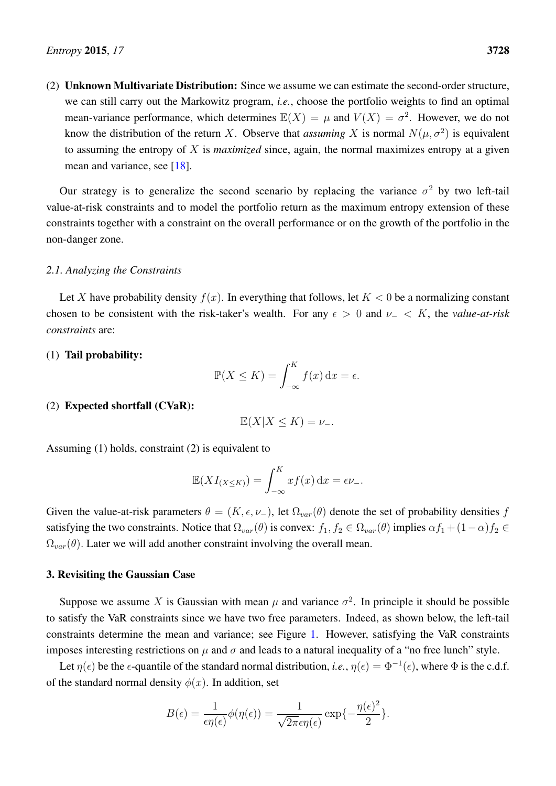(2) Unknown Multivariate Distribution: Since we assume we can estimate the second-order structure, we can still carry out the Markowitz program, *i.e.*, choose the portfolio weights to find an optimal mean-variance performance, which determines  $\mathbb{E}(X) = \mu$  and  $V(X) = \sigma^2$ . However, we do not know the distribution of the return X. Observe that *assuming* X is normal  $N(\mu, \sigma^2)$  is equivalent to assuming the entropy of X is *maximized* since, again, the normal maximizes entropy at a given mean and variance, see [\[18\]](#page-13-11).

Our strategy is to generalize the second scenario by replacing the variance  $\sigma^2$  by two left-tail value-at-risk constraints and to model the portfolio return as the maximum entropy extension of these constraints together with a constraint on the overall performance or on the growth of the portfolio in the non-danger zone.

# *2.1. Analyzing the Constraints*

Let X have probability density  $f(x)$ . In everything that follows, let  $K < 0$  be a normalizing constant chosen to be consistent with the risk-taker's wealth. For any  $\epsilon > 0$  and  $\nu_- < K$ , the *value-at-risk constraints* are:

# (1) Tail probability:

$$
\mathbb{P}(X \le K) = \int_{-\infty}^{K} f(x) \, \mathrm{d}x = \epsilon.
$$

#### (2) Expected shortfall (CVaR):

$$
\mathbb{E}(X|X \leq K) = \nu_{-}.
$$

Assuming (1) holds, constraint (2) is equivalent to

$$
\mathbb{E}(XI_{(X\leq K)}) = \int_{-\infty}^{K} x f(x) \, \mathrm{d}x = \epsilon \nu_{-}.
$$

Given the value-at-risk parameters  $\theta = (K, \epsilon, \nu_{-})$ , let  $\Omega_{var}(\theta)$  denote the set of probability densities f satisfying the two constraints. Notice that  $\Omega_{var}(\theta)$  is convex:  $f_1, f_2 \in \Omega_{var}(\theta)$  implies  $\alpha f_1 + (1 - \alpha)f_2 \in$  $\Omega_{var}(\theta)$ . Later we will add another constraint involving the overall mean.

#### 3. Revisiting the Gaussian Case

Suppose we assume X is Gaussian with mean  $\mu$  and variance  $\sigma^2$ . In principle it should be possible to satisfy the VaR constraints since we have two free parameters. Indeed, as shown below, the left-tail constraints determine the mean and variance; see Figure [1.](#page-5-0) However, satisfying the VaR constraints imposes interesting restrictions on  $\mu$  and  $\sigma$  and leads to a natural inequality of a "no free lunch" style.

Let  $\eta(\epsilon)$  be the  $\epsilon$ -quantile of the standard normal distribution, *i.e.*,  $\eta(\epsilon) = \Phi^{-1}(\epsilon)$ , where  $\Phi$  is the c.d.f. of the standard normal density  $\phi(x)$ . In addition, set

$$
B(\epsilon) = \frac{1}{\epsilon \eta(\epsilon)} \phi(\eta(\epsilon)) = \frac{1}{\sqrt{2\pi} \epsilon \eta(\epsilon)} \exp\{-\frac{\eta(\epsilon)^2}{2}\}.
$$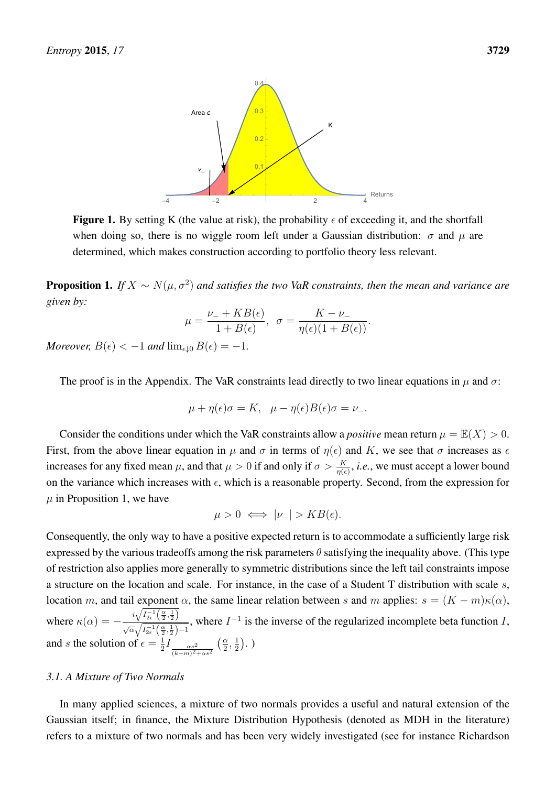<span id="page-5-0"></span>

Figure 1. By setting K (the value at risk), the probability  $\epsilon$  of exceeding it, and the shortfall when doing so, there is no wiggle room left under a Gaussian distribution:  $\sigma$  and  $\mu$  are determined, which makes construction according to portfolio theory less relevant.

**Proposition 1.** If  $X \sim N(\mu, \sigma^2)$  and satisfies the two VaR constraints, then the mean and variance are *given by:*

$$
\mu = \frac{\nu_- + KB(\epsilon)}{1 + B(\epsilon)}, \ \ \sigma = \frac{K - \nu_-}{\eta(\epsilon)(1 + B(\epsilon))}.
$$

*Moreover,*  $B(\epsilon) < -1$  *and*  $\lim_{\epsilon \to 0} B(\epsilon) = -1$ *.* 

The proof is in the Appendix. The VaR constraints lead directly to two linear equations in  $\mu$  and  $\sigma$ :

$$
\mu + \eta(\epsilon)\sigma = K, \quad \mu - \eta(\epsilon)B(\epsilon)\sigma = \nu_{-}.
$$

Consider the conditions under which the VaR constraints allow a *positive* mean return  $\mu = \mathbb{E}(X) > 0$ . First, from the above linear equation in  $\mu$  and  $\sigma$  in terms of  $\eta(\epsilon)$  and K, we see that  $\sigma$  increases as  $\epsilon$ increases for any fixed mean  $\mu$ , and that  $\mu > 0$  if and only if  $\sigma > \frac{K}{\eta(\epsilon)}$ , *i.e.*, we must accept a lower bound on the variance which increases with  $\epsilon$ , which is a reasonable property. Second, from the expression for  $\mu$  in Proposition 1, we have

$$
\mu > 0 \iff |\nu_-| > KB(\epsilon).
$$

Consequently, the only way to have a positive expected return is to accommodate a sufficiently large risk expressed by the various tradeoffs among the risk parameters  $\theta$  satisfying the inequality above. (This type of restriction also applies more generally to symmetric distributions since the left tail constraints impose a structure on the location and scale. For instance, in the case of a Student T distribution with scale s, location m, and tail exponent  $\alpha$ , the same linear relation between s and m applies:  $s = (K - m)\kappa(\alpha)$ , where  $\kappa(\alpha) = -\frac{i\sqrt{I_{2e}^{-1}\left(\frac{\alpha}{2},\frac{1}{2}\right)}}{\sqrt{\alpha}\sqrt{I_{2e}^{-1}\left(\frac{\alpha}{2},\frac{1}{2}\right)-1}}$ , where  $I^{-1}$  is the inverse of the regularized incomplete beta function I, and s the solution of  $\epsilon = \frac{1}{2}$  $\frac{1}{2}I_{\frac{\alpha s^2}{(k-m)^2+\alpha s^2}}$  $\left(\frac{\alpha}{2}\right)$  $\frac{\alpha}{2},\frac{1}{2}$  $\frac{1}{2}$ .)

#### *3.1. A Mixture of Two Normals*

In many applied sciences, a mixture of two normals provides a useful and natural extension of the Gaussian itself; in finance, the Mixture Distribution Hypothesis (denoted as MDH in the literature) refers to a mixture of two normals and has been very widely investigated (see for instance Richardson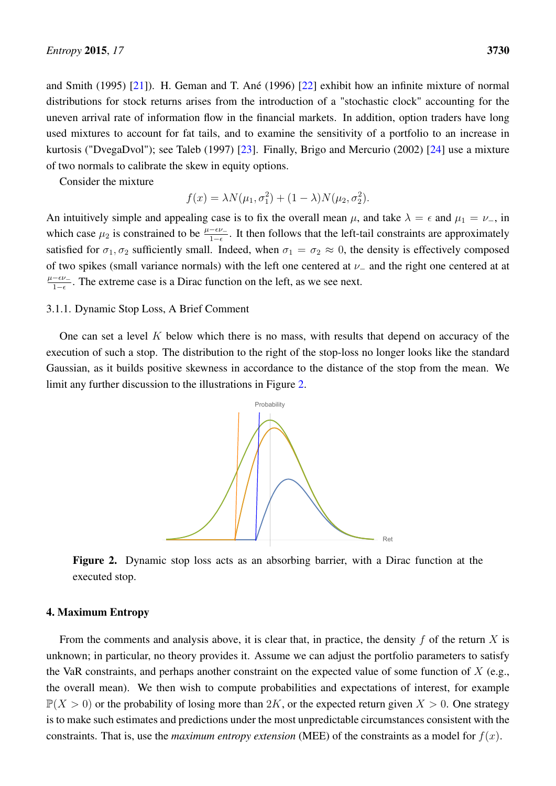and Smith (1995) [\[21\]](#page-13-14)). H. Geman and T. Ané (1996) [\[22\]](#page-13-15) exhibit how an infinite mixture of normal distributions for stock returns arises from the introduction of a "stochastic clock" accounting for the uneven arrival rate of information flow in the financial markets. In addition, option traders have long used mixtures to account for fat tails, and to examine the sensitivity of a portfolio to an increase in kurtosis ("DvegaDvol"); see Taleb (1997) [\[23\]](#page-13-16). Finally, Brigo and Mercurio (2002) [\[24\]](#page-13-17) use a mixture of two normals to calibrate the skew in equity options.

Consider the mixture

$$
f(x) = \lambda N(\mu_1, \sigma_1^2) + (1 - \lambda)N(\mu_2, \sigma_2^2).
$$

An intuitively simple and appealing case is to fix the overall mean  $\mu$ , and take  $\lambda = \epsilon$  and  $\mu_1 = \nu_-,$  in which case  $\mu_2$  is constrained to be  $\frac{\mu-\epsilon\nu_-}{1-\epsilon}$ . It then follows that the left-tail constraints are approximately satisfied for  $\sigma_1, \sigma_2$  sufficiently small. Indeed, when  $\sigma_1 = \sigma_2 \approx 0$ , the density is effectively composed of two spikes (small variance normals) with the left one centered at  $\nu$  and the right one centered at at  $\mu-\epsilon\nu \frac{-\epsilon\nu}{1-\epsilon}$ . The extreme case is a Dirac function on the left, as we see next.

#### 3.1.1. Dynamic Stop Loss, A Brief Comment

<span id="page-6-0"></span>One can set a level  $K$  below which there is no mass, with results that depend on accuracy of the execution of such a stop. The distribution to the right of the stop-loss no longer looks like the standard Gaussian, as it builds positive skewness in accordance to the distance of the stop from the mean. We limit any further discussion to the illustrations in Figure [2.](#page-6-0)



Figure 2. Dynamic stop loss acts as an absorbing barrier, with a Dirac function at the executed stop.

#### 4. Maximum Entropy

From the comments and analysis above, it is clear that, in practice, the density  $f$  of the return  $X$  is unknown; in particular, no theory provides it. Assume we can adjust the portfolio parameters to satisfy the VaR constraints, and perhaps another constraint on the expected value of some function of  $X$  (e.g., the overall mean). We then wish to compute probabilities and expectations of interest, for example  $\mathbb{P}(X > 0)$  or the probability of losing more than 2K, or the expected return given  $X > 0$ . One strategy is to make such estimates and predictions under the most unpredictable circumstances consistent with the constraints. That is, use the *maximum entropy extension* (MEE) of the constraints as a model for  $f(x)$ .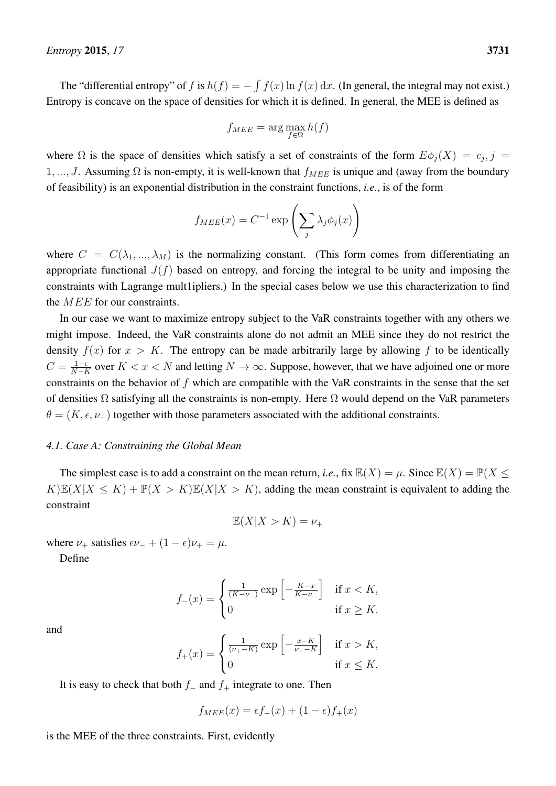The "differential entropy" of f is  $h(f) = -\int f(x) \ln f(x) dx$ . (In general, the integral may not exist.) Entropy is concave on the space of densities for which it is defined. In general, the MEE is defined as

$$
f_{MEE} = \arg\max_{f \in \Omega} h(f)
$$

where  $\Omega$  is the space of densities which satisfy a set of constraints of the form  $E\phi_j(X) = c_j, j = j$ 1, ..., J. Assuming  $\Omega$  is non-empty, it is well-known that  $f_{MEE}$  is unique and (away from the boundary of feasibility) is an exponential distribution in the constraint functions, *i.e.*, is of the form

$$
f_{MEE}(x) = C^{-1} \exp\left(\sum_{j} \lambda_j \phi_j(x)\right)
$$

where  $C = C(\lambda_1, ..., \lambda_M)$  is the normalizing constant. (This form comes from differentiating an appropriate functional  $J(f)$  based on entropy, and forcing the integral to be unity and imposing the constraints with Lagrange mult1ipliers.) In the special cases below we use this characterization to find the MEE for our constraints.

In our case we want to maximize entropy subject to the VaR constraints together with any others we might impose. Indeed, the VaR constraints alone do not admit an MEE since they do not restrict the density  $f(x)$  for  $x > K$ . The entropy can be made arbitrarily large by allowing f to be identically  $C = \frac{1-\epsilon}{N-k}$  $\frac{1-\epsilon}{N-K}$  over  $K < x < N$  and letting  $N \to \infty$ . Suppose, however, that we have adjoined one or more constraints on the behavior of f which are compatible with the VaR constraints in the sense that the set of densities  $\Omega$  satisfying all the constraints is non-empty. Here  $\Omega$  would depend on the VaR parameters  $\theta = (K, \epsilon, \nu_{-})$  together with those parameters associated with the additional constraints.

## *4.1. Case A: Constraining the Global Mean*

The simplest case is to add a constraint on the mean return, *i.e.*, fix  $\mathbb{E}(X) = \mu$ . Since  $\mathbb{E}(X) = \mathbb{P}(X \leq$  $K\mathbb{E}(X|X \leq K) + \mathbb{P}(X > K)\mathbb{E}(X|X > K)$ , adding the mean constraint is equivalent to adding the constraint

$$
\mathbb{E}(X|X > K) = \nu_+
$$

where  $\nu_+$  satisfies  $\epsilon \nu_- + (1 - \epsilon) \nu_+ = \mu$ .

Define

$$
f_{-}(x) = \begin{cases} \frac{1}{(K-\nu_{-})} \exp\left[-\frac{K-x}{K-\nu_{-}}\right] & \text{if } x < K, \\ 0 & \text{if } x \ge K. \end{cases}
$$

and

$$
f_{+}(x) = \begin{cases} \frac{1}{(\nu_{+}-K)} \exp\left[-\frac{x-K}{\nu_{+}-K}\right] & \text{if } x > K, \\ 0 & \text{if } x \le K. \end{cases}
$$

It is easy to check that both  $f_$  and  $f_+$  integrate to one. Then

$$
f_{MEE}(x) = \epsilon f_-(x) + (1 - \epsilon)f_+(x)
$$

is the MEE of the three constraints. First, evidently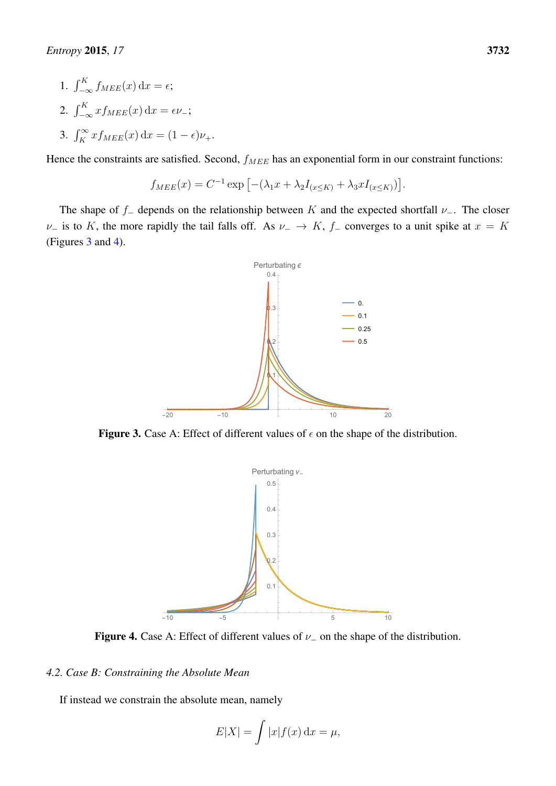1.  $\int_{-\infty}^{K} f_{MEE}(x) dx = \epsilon;$ 2.  $\int_{-\infty}^{K} x f_{MEE}(x) dx = \epsilon \nu_{-};$ 3.  $\int_K^{\infty} x f_{MEE}(x) dx = (1 - \epsilon) \nu_+$ .

Hence the constraints are satisfied. Second,  $f_{MEE}$  has an exponential form in our constraint functions:

$$
f_{MEE}(x) = C^{-1} \exp \left[ -(\lambda_1 x + \lambda_2 I_{(x \leq K)} + \lambda_3 x I_{(x \leq K)}) \right]
$$

<span id="page-8-0"></span>The shape of  $f_$  depends on the relationship between K and the expected shortfall  $\nu$ <sub>−</sub>. The closer  $\nu_$  is to K, the more rapidly the tail falls off. As  $\nu_$  → K,  $f_$  converges to a unit spike at  $x = K$ (Figures [3](#page-8-0) and [4\)](#page-8-1).



<span id="page-8-1"></span>Figure 3. Case A: Effect of different values of  $\epsilon$  on the shape of the distribution.



Figure 4. Case A: Effect of different values of  $\nu$  on the shape of the distribution.

# *4.2. Case B: Constraining the Absolute Mean*

If instead we constrain the absolute mean, namely

$$
E|X| = \int |x| f(x) \, \mathrm{d}x = \mu,
$$

.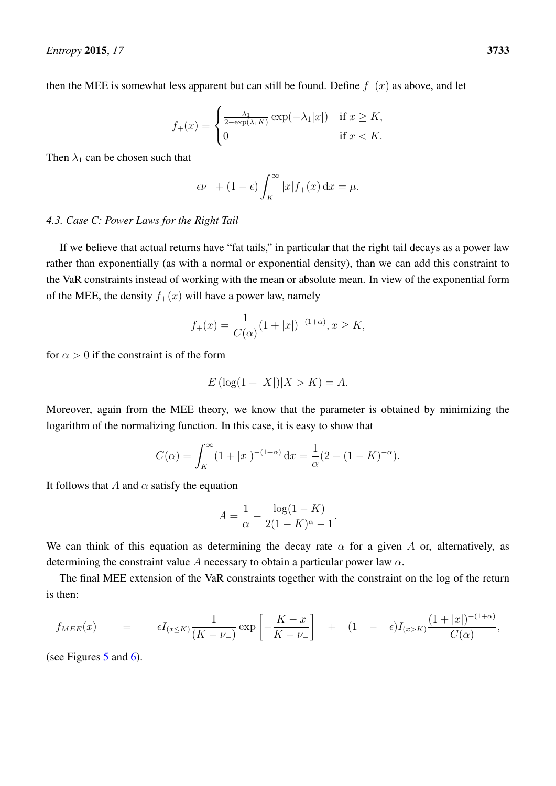then the MEE is somewhat less apparent but can still be found. Define  $f_-(x)$  as above, and let

$$
f_{+}(x) = \begin{cases} \frac{\lambda_{1}}{2 - \exp(\lambda_{1} K)} \exp(-\lambda_{1}|x|) & \text{if } x \geq K, \\ 0 & \text{if } x < K. \end{cases}
$$

Then  $\lambda_1$  can be chosen such that

$$
\epsilon \nu_- + (1 - \epsilon) \int_K^{\infty} |x| f_+(x) \, \mathrm{d}x = \mu.
$$

# *4.3. Case C: Power Laws for the Right Tail*

If we believe that actual returns have "fat tails," in particular that the right tail decays as a power law rather than exponentially (as with a normal or exponential density), than we can add this constraint to the VaR constraints instead of working with the mean or absolute mean. In view of the exponential form of the MEE, the density  $f_+(x)$  will have a power law, namely

$$
f_{+}(x) = \frac{1}{C(\alpha)} (1 + |x|)^{-(1+\alpha)}, x \ge K,
$$

for  $\alpha > 0$  if the constraint is of the form

$$
E(\log(1+|X|)|X > K) = A.
$$

Moreover, again from the MEE theory, we know that the parameter is obtained by minimizing the logarithm of the normalizing function. In this case, it is easy to show that

$$
C(\alpha) = \int_K^{\infty} (1+|x|)^{-(1+\alpha)} dx = \frac{1}{\alpha} (2 - (1 - K)^{-\alpha}).
$$

It follows that A and  $\alpha$  satisfy the equation

$$
A = \frac{1}{\alpha} - \frac{\log(1 - K)}{2(1 - K)^{\alpha} - 1}.
$$

We can think of this equation as determining the decay rate  $\alpha$  for a given A or, alternatively, as determining the constraint value A necessary to obtain a particular power law  $\alpha$ .

The final MEE extension of the VaR constraints together with the constraint on the log of the return is then:

$$
f_{MEE}(x) = \epsilon I_{(x \leq K)} \frac{1}{(K - \nu_{-})} \exp \left[ -\frac{K - x}{K - \nu_{-}} \right] + (1 - \epsilon) I_{(x > K)} \frac{(1 + |x|)^{-(1 + \alpha)}}{C(\alpha)},
$$

(see Figures [5](#page-10-0) and [6\)](#page-10-1).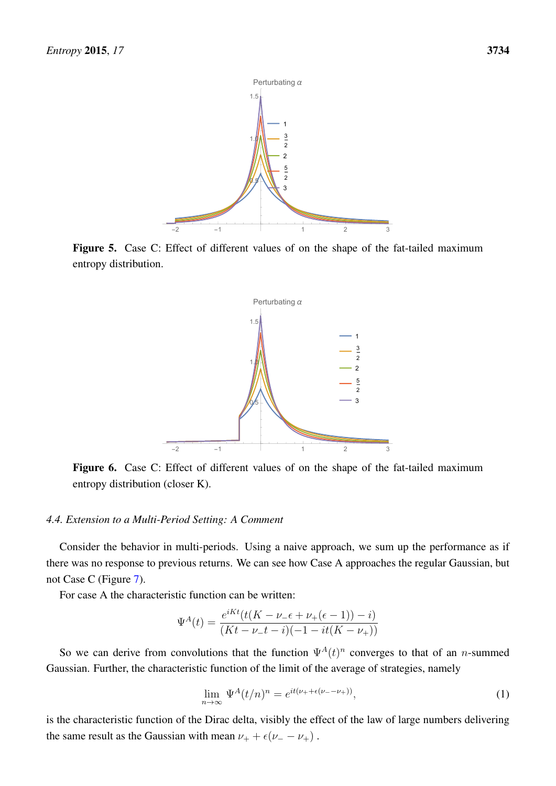<span id="page-10-0"></span>

<span id="page-10-1"></span>Figure 5. Case C: Effect of different values of on the shape of the fat-tailed maximum entropy distribution.



Figure 6. Case C: Effect of different values of on the shape of the fat-tailed maximum entropy distribution (closer K).

#### *4.4. Extension to a Multi-Period Setting: A Comment*

Consider the behavior in multi-periods. Using a naive approach, we sum up the performance as if there was no response to previous returns. We can see how Case A approaches the regular Gaussian, but not Case C (Figure [7\)](#page-11-0).

For case A the characteristic function can be written:

$$
\Psi^{A}(t) = \frac{e^{iKt}(t(K - \nu_{-} \epsilon + \nu_{+}(\epsilon - 1)) - i)}{(Kt - \nu_{-} t - i)(-1 - it(K - \nu_{+}))}
$$

So we can derive from convolutions that the function  $\Psi^A(t)^n$  converges to that of an *n*-summed Gaussian. Further, the characteristic function of the limit of the average of strategies, namely

<span id="page-10-2"></span>
$$
\lim_{n \to \infty} \Psi^A(t/n)^n = e^{it(\nu_+ + \epsilon(\nu_- - \nu_+))},\tag{1}
$$

is the characteristic function of the Dirac delta, visibly the effect of the law of large numbers delivering the same result as the Gaussian with mean  $\nu_{+} + \epsilon (\nu_{-} - \nu_{+})$ .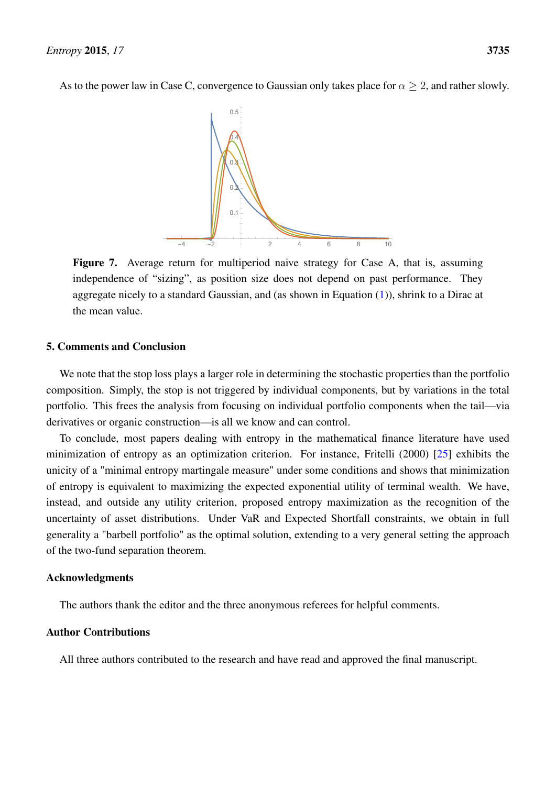<span id="page-11-0"></span>As to the power law in Case C, convergence to Gaussian only takes place for  $\alpha > 2$ , and rather slowly.



Figure 7. Average return for multiperiod naive strategy for Case A, that is, assuming independence of "sizing", as position size does not depend on past performance. They aggregate nicely to a standard Gaussian, and (as shown in Equation [\(1\)](#page-10-2)), shrink to a Dirac at the mean value.

# 5. Comments and Conclusion

We note that the stop loss plays a larger role in determining the stochastic properties than the portfolio composition. Simply, the stop is not triggered by individual components, but by variations in the total portfolio. This frees the analysis from focusing on individual portfolio components when the tail—via derivatives or organic construction—is all we know and can control.

To conclude, most papers dealing with entropy in the mathematical finance literature have used minimization of entropy as an optimization criterion. For instance, Fritelli (2000) [\[25\]](#page-13-18) exhibits the unicity of a "minimal entropy martingale measure" under some conditions and shows that minimization of entropy is equivalent to maximizing the expected exponential utility of terminal wealth. We have, instead, and outside any utility criterion, proposed entropy maximization as the recognition of the uncertainty of asset distributions. Under VaR and Expected Shortfall constraints, we obtain in full generality a "barbell portfolio" as the optimal solution, extending to a very general setting the approach of the two-fund separation theorem.

# Acknowledgments

The authors thank the editor and the three anonymous referees for helpful comments.

## Author Contributions

All three authors contributed to the research and have read and approved the final manuscript.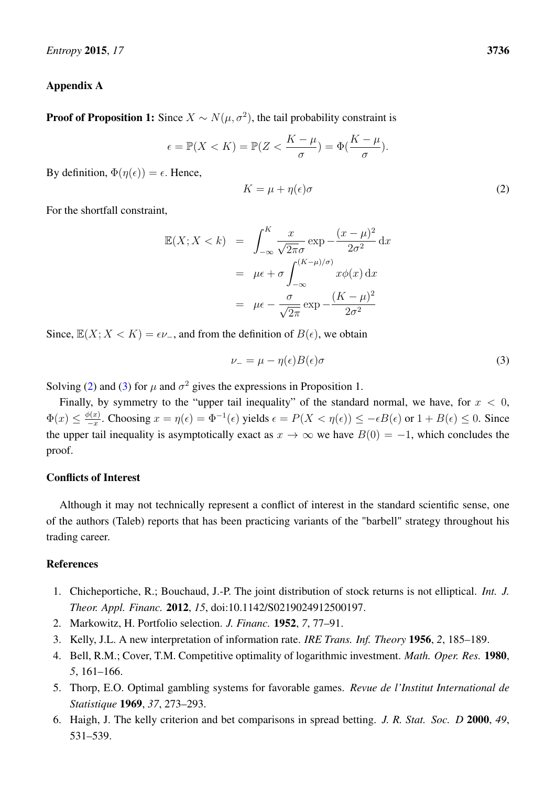#### Appendix A

$$
\epsilon = \mathbb{P}(X < K) = \mathbb{P}(Z < \frac{K - \mu}{\sigma}) = \Phi(\frac{K - \mu}{\sigma}).
$$

By definition,  $\Phi(\eta(\epsilon)) = \epsilon$ . Hence,

<span id="page-12-6"></span>
$$
K = \mu + \eta(\epsilon)\sigma \tag{2}
$$

For the shortfall constraint,

$$
\mathbb{E}(X; X < k) = \int_{-\infty}^{K} \frac{x}{\sqrt{2\pi}\sigma} \exp\left(-\frac{(x-\mu)^2}{2\sigma^2}\right) dx
$$
\n
$$
= \mu\epsilon + \sigma \int_{-\infty}^{(K-\mu)/\sigma} x\phi(x) dx
$$
\n
$$
= \mu\epsilon - \frac{\sigma}{\sqrt{2\pi}} \exp\left(-\frac{(K-\mu)^2}{2\sigma^2}\right)
$$

Since,  $\mathbb{E}(X; X < K) = \epsilon \nu_{-}$ , and from the definition of  $B(\epsilon)$ , we obtain

<span id="page-12-7"></span>
$$
\nu_{-} = \mu - \eta(\epsilon)B(\epsilon)\sigma\tag{3}
$$

Solving [\(2\)](#page-12-6) and [\(3\)](#page-12-7) for  $\mu$  and  $\sigma^2$  gives the expressions in Proposition 1.

Finally, by symmetry to the "upper tail inequality" of the standard normal, we have, for  $x < 0$ ,  $\Phi(x) \leq \frac{\phi(x)}{-x}$  $\frac{\phi(x)}{-x}$ . Choosing  $x = \eta(\epsilon) = \Phi^{-1}(\epsilon)$  yields  $\epsilon = P(X < \eta(\epsilon)) \le -\epsilon B(\epsilon)$  or  $1 + B(\epsilon) \le 0$ . Since the upper tail inequality is asymptotically exact as  $x \to \infty$  we have  $B(0) = -1$ , which concludes the proof.

# Conflicts of Interest

Although it may not technically represent a conflict of interest in the standard scientific sense, one of the authors (Taleb) reports that has been practicing variants of the "barbell" strategy throughout his trading career.

#### References

- <span id="page-12-0"></span>1. Chicheportiche, R.; Bouchaud, J.-P. The joint distribution of stock returns is not elliptical. *Int. J. Theor. Appl. Financ.* 2012, *15*, doi:10.1142/S0219024912500197.
- <span id="page-12-1"></span>2. Markowitz, H. Portfolio selection. *J. Financ.* 1952, *7*, 77–91.
- <span id="page-12-2"></span>3. Kelly, J.L. A new interpretation of information rate. *IRE Trans. Inf. Theory* 1956, *2*, 185–189.
- <span id="page-12-3"></span>4. Bell, R.M.; Cover, T.M. Competitive optimality of logarithmic investment. *Math. Oper. Res.* 1980, *5*, 161–166.
- <span id="page-12-4"></span>5. Thorp, E.O. Optimal gambling systems for favorable games. *Revue de l'Institut International de Statistique* 1969, *37*, 273–293.
- <span id="page-12-5"></span>6. Haigh, J. The kelly criterion and bet comparisons in spread betting. *J. R. Stat. Soc. D* 2000, *49*, 531–539.